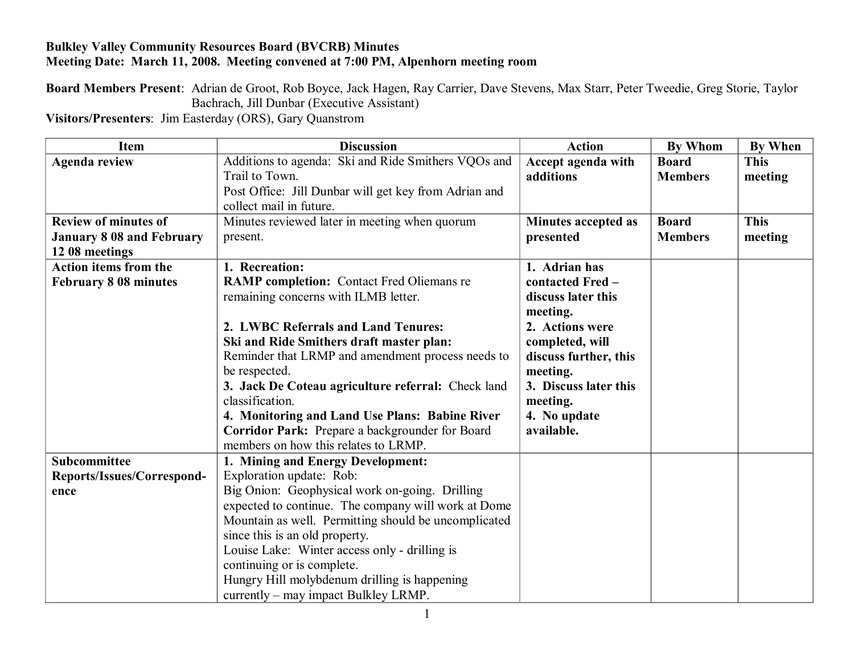## **Bulkley Valley Community Resources Board (BVCRB) Minutes Meeting Date: March 11, 2008. Meeting convened at 7:00 PM, Alpenhorn meeting room**

**Board Members Present**: Adrian de Groot, Rob Boyce, Jack Hagen, Ray Carrier, Dave Stevens, Max Starr, Peter Tweedie, Greg Storie, Taylor Bachrach, Jill Dunbar (Executive Assistant)

**Visitors/Presenters**: Jim Easterday (ORS), Gary Quanstrom

| <b>Item</b>                      | <b>Discussion</b>                                     | <b>Action</b>              | <b>By Whom</b> | <b>By When</b> |
|----------------------------------|-------------------------------------------------------|----------------------------|----------------|----------------|
| <b>Agenda review</b>             | Additions to agenda: Ski and Ride Smithers VQOs and   | Accept agenda with         | <b>Board</b>   | <b>This</b>    |
|                                  | Trail to Town.                                        | additions                  | <b>Members</b> | meeting        |
|                                  | Post Office: Jill Dunbar will get key from Adrian and |                            |                |                |
|                                  | collect mail in future.                               |                            |                |                |
| <b>Review of minutes of</b>      | Minutes reviewed later in meeting when quorum         | <b>Minutes accepted as</b> | <b>Board</b>   | <b>This</b>    |
| <b>January 8 08 and February</b> | present.                                              | presented                  | <b>Members</b> | meeting        |
| 12 08 meetings                   |                                                       |                            |                |                |
| <b>Action items from the</b>     | 1. Recreation:                                        | 1. Adrian has              |                |                |
| <b>February 8 08 minutes</b>     | <b>RAMP</b> completion: Contact Fred Oliemans re      | contacted Fred-            |                |                |
|                                  | remaining concerns with ILMB letter.                  | discuss later this         |                |                |
|                                  |                                                       | meeting.                   |                |                |
|                                  | 2. LWBC Referrals and Land Tenures:                   | 2. Actions were            |                |                |
|                                  | Ski and Ride Smithers draft master plan:              | completed, will            |                |                |
|                                  | Reminder that LRMP and amendment process needs to     | discuss further, this      |                |                |
|                                  | be respected.                                         | meeting.                   |                |                |
|                                  | 3. Jack De Coteau agriculture referral: Check land    | 3. Discuss later this      |                |                |
|                                  | classification.                                       | meeting.                   |                |                |
|                                  | 4. Monitoring and Land Use Plans: Babine River        | 4. No update               |                |                |
|                                  | Corridor Park: Prepare a backgrounder for Board       | available.                 |                |                |
|                                  | members on how this relates to LRMP.                  |                            |                |                |
| Subcommittee                     | 1. Mining and Energy Development:                     |                            |                |                |
| Reports/Issues/Correspond-       | Exploration update: Rob:                              |                            |                |                |
| ence                             | Big Onion: Geophysical work on-going. Drilling        |                            |                |                |
|                                  | expected to continue. The company will work at Dome   |                            |                |                |
|                                  | Mountain as well. Permitting should be uncomplicated  |                            |                |                |
|                                  | since this is an old property.                        |                            |                |                |
|                                  | Louise Lake: Winter access only - drilling is         |                            |                |                |
|                                  | continuing or is complete.                            |                            |                |                |
|                                  | Hungry Hill molybdenum drilling is happening          |                            |                |                |
|                                  | currently – may impact Bulkley LRMP.                  |                            |                |                |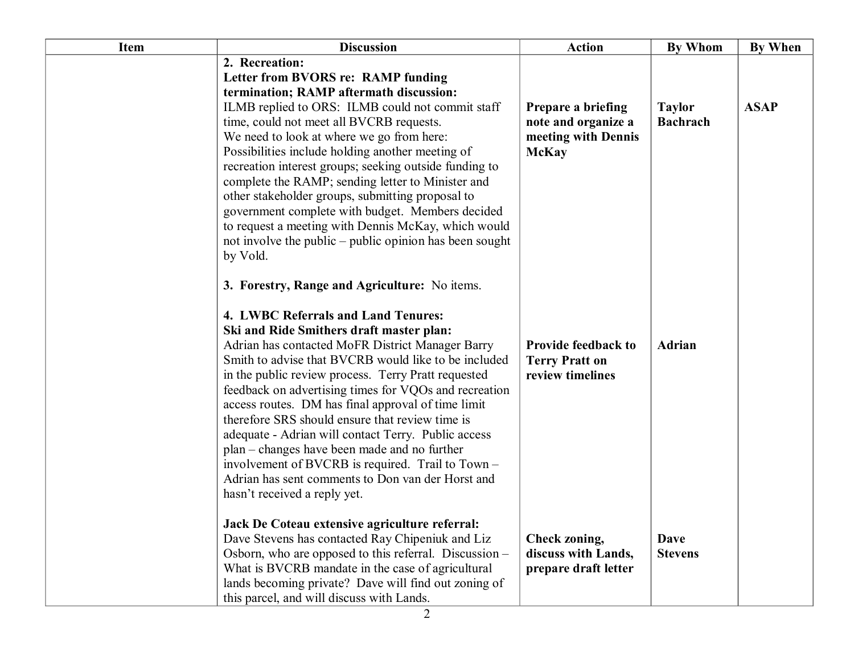| <b>Item</b> | <b>Discussion</b>                                                                                                                                                                                                                                                                                                                                                                                                                                                                                                                                                                                                                                                                                                      | <b>Action</b>                                                                    | <b>By Whom</b>                   | <b>By When</b> |
|-------------|------------------------------------------------------------------------------------------------------------------------------------------------------------------------------------------------------------------------------------------------------------------------------------------------------------------------------------------------------------------------------------------------------------------------------------------------------------------------------------------------------------------------------------------------------------------------------------------------------------------------------------------------------------------------------------------------------------------------|----------------------------------------------------------------------------------|----------------------------------|----------------|
|             | 2. Recreation:<br>Letter from BVORS re: RAMP funding<br>termination; RAMP aftermath discussion:<br>ILMB replied to ORS: ILMB could not commit staff<br>time, could not meet all BVCRB requests.<br>We need to look at where we go from here:<br>Possibilities include holding another meeting of<br>recreation interest groups; seeking outside funding to<br>complete the RAMP; sending letter to Minister and<br>other stakeholder groups, submitting proposal to<br>government complete with budget. Members decided<br>to request a meeting with Dennis McKay, which would<br>not involve the public – public opinion has been sought<br>by Vold.                                                                  | Prepare a briefing<br>note and organize a<br>meeting with Dennis<br><b>McKay</b> | <b>Taylor</b><br><b>Bachrach</b> | <b>ASAP</b>    |
|             | 3. Forestry, Range and Agriculture: No items.<br>4. LWBC Referrals and Land Tenures:<br>Ski and Ride Smithers draft master plan:<br>Adrian has contacted MoFR District Manager Barry<br>Smith to advise that BVCRB would like to be included<br>in the public review process. Terry Pratt requested<br>feedback on advertising times for VQOs and recreation<br>access routes. DM has final approval of time limit<br>therefore SRS should ensure that review time is<br>adequate - Adrian will contact Terry. Public access<br>plan – changes have been made and no further<br>involvement of BVCRB is required. Trail to Town –<br>Adrian has sent comments to Don van der Horst and<br>hasn't received a reply yet. | <b>Provide feedback to</b><br><b>Terry Pratt on</b><br>review timelines          | Adrian                           |                |
|             | Jack De Coteau extensive agriculture referral:<br>Dave Stevens has contacted Ray Chipeniuk and Liz<br>Osborn, who are opposed to this referral. Discussion –<br>What is BVCRB mandate in the case of agricultural<br>lands becoming private? Dave will find out zoning of<br>this parcel, and will discuss with Lands.                                                                                                                                                                                                                                                                                                                                                                                                 | Check zoning,<br>discuss with Lands,<br>prepare draft letter                     | Dave<br><b>Stevens</b>           |                |